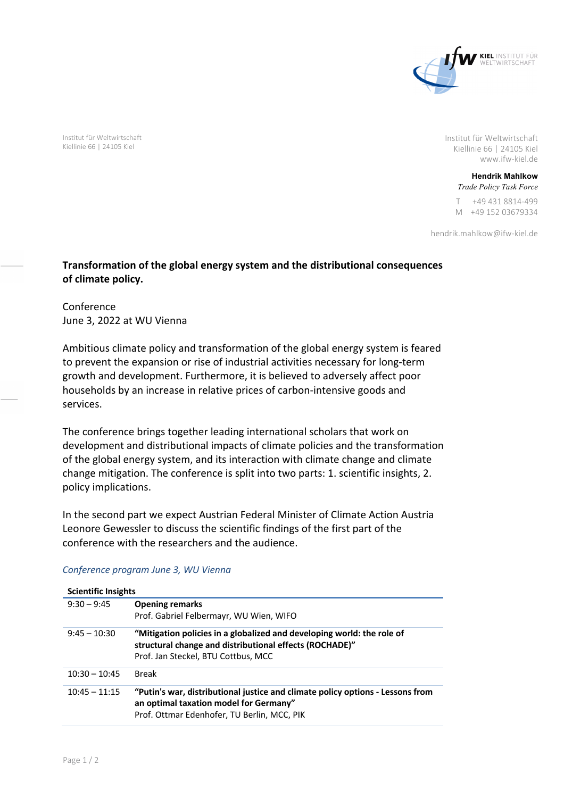

Institut für Weltwirtschaft Kiellinie 66 | 24105 Kiel

Institut für Weltwirtschaft Kiellinie 66 | 24105 Kiel www.ifw-kiel.de

> **Hendrik Mahlkow** *Trade Policy Task Force*

T +49 431 8814-499 M +49 152 03679334

hendrik.mahlkow@ifw-kiel.de

## **Transformation of the global energy system and the distributional consequences of climate policy.**

Conference June 3, 2022 at WU Vienna

Ambitious climate policy and transformation of the global energy system is feared to prevent the expansion or rise of industrial activities necessary for long-term growth and development. Furthermore, it is believed to adversely affect poor households by an increase in relative prices of carbon-intensive goods and services.

The conference brings together leading international scholars that work on development and distributional impacts of climate policies and the transformation of the global energy system, and its interaction with climate change and climate change mitigation. The conference is split into two parts: 1. scientific insights, 2. policy implications.

In the second part we expect Austrian Federal Minister of Climate Action Austria Leonore Gewessler to discuss the scientific findings of the first part of the conference with the researchers and the audience.

| <b>Scientific Insights</b> |                                                                                                                                                                         |  |
|----------------------------|-------------------------------------------------------------------------------------------------------------------------------------------------------------------------|--|
| $9:30 - 9:45$              | <b>Opening remarks</b>                                                                                                                                                  |  |
|                            | Prof. Gabriel Felbermayr, WU Wien, WIFO                                                                                                                                 |  |
| $9:45 - 10:30$             | "Mitigation policies in a globalized and developing world: the role of<br>structural change and distributional effects (ROCHADE)"                                       |  |
|                            | Prof. Jan Steckel, BTU Cottbus, MCC                                                                                                                                     |  |
| $10:30 - 10:45$            | <b>Break</b>                                                                                                                                                            |  |
| $10:45 - 11:15$            | "Putin's war, distributional justice and climate policy options - Lessons from<br>an optimal taxation model for Germany"<br>Prof. Ottmar Edenhofer, TU Berlin, MCC, PIK |  |

## *Conference program June 3, WU Vienna*